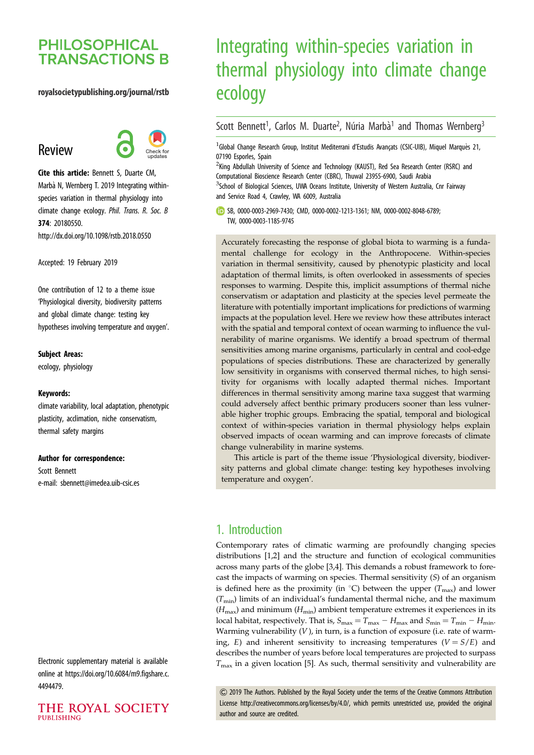# **PHILOSOPHICAL TRANSACTIONS B**

#### royalsocietypublishing.org/journal/rstb

# Review



Cite this article: Bennett S, Duarte CM, Marbà N, Wernberg T. 2019 Integrating withinspecies variation in thermal physiology into climate change ecology. Phil. Trans. R. Soc. B 374: 20180550. http://dx.doi.org/10.1098/rstb.2018.0550

Accepted: 19 February 2019

One contribution of 12 to a theme issue ['Physiological diversity, biodiversity patterns](http://dx.doi.org/10.1098/rstb/374/1778) [and global climate change: testing key](http://dx.doi.org/10.1098/rstb/374/1778) [hypotheses involving temperature and oxygen'](http://dx.doi.org/10.1098/rstb/374/1778).

#### Subject Areas:

ecology, physiology

#### Keywords:

climate variability, local adaptation, phenotypic plasticity, acclimation, niche conservatism, thermal safety margins

#### Author for correspondence:

Scott Bennett e-mail: [sbennett@imedea.uib-csic.es](mailto:sbennett@imedea.uib-csic.es)

Electronic supplementary material is available online at [https://doi.org/10.6084/m9.figshare.c.](https://doi.org/10.6084/m9.figshare.c.4494479) [4494479.](https://doi.org/10.6084/m9.figshare.c.4494479)

THE ROYAL SOCIETY **PUBLISHING** 

# Integrating within-species variation in thermal physiology into climate change ecology

## Scott Bennett<sup>1</sup>, Carlos M. Duarte<sup>2</sup>, Núria Marbà<sup>1</sup> and Thomas Wernberg<sup>3</sup>

<sup>1</sup>Global Change Research Group, Institut Mediterrani d'Estudis Avançats (CSIC-UIB), Miquel Marquès 21, 07190 Esporles, Spain

<sup>2</sup>King Abdullah University of Science and Technology (KAUST), Red Sea Research Center (RSRC) and Computational Bioscience Research Center (CBRC), Thuwal 23955-6900, Saudi Arabia <sup>3</sup>School of Biological Sciences, UWA Oceans Institute, University of Western Australia, Cnr Fairway and Service Road 4, Crawley, WA 6009, Australia

SB, [0000-0003-2969-7430](http://orcid.org/0000-0003-2969-7430); CMD, [0000-0002-1213-1361](http://orcid.org/0000-0002-1213-1361); NM, [0000-0002-8048-6789;](http://orcid.org/0000-0002-8048-6789) TW, [0000-0003-1185-9745](http://orcid.org/0000-0003-1185-9745)

Accurately forecasting the response of global biota to warming is a fundamental challenge for ecology in the Anthropocene. Within-species variation in thermal sensitivity, caused by phenotypic plasticity and local adaptation of thermal limits, is often overlooked in assessments of species responses to warming. Despite this, implicit assumptions of thermal niche conservatism or adaptation and plasticity at the species level permeate the literature with potentially important implications for predictions of warming impacts at the population level. Here we review how these attributes interact with the spatial and temporal context of ocean warming to influence the vulnerability of marine organisms. We identify a broad spectrum of thermal sensitivities among marine organisms, particularly in central and cool-edge populations of species distributions. These are characterized by generally low sensitivity in organisms with conserved thermal niches, to high sensitivity for organisms with locally adapted thermal niches. Important differences in thermal sensitivity among marine taxa suggest that warming could adversely affect benthic primary producers sooner than less vulnerable higher trophic groups. Embracing the spatial, temporal and biological context of within-species variation in thermal physiology helps explain observed impacts of ocean warming and can improve forecasts of climate change vulnerability in marine systems.

This article is part of the theme issue 'Physiological diversity, biodiversity patterns and global climate change: testing key hypotheses involving temperature and oxygen'.

## 1. Introduction

Contemporary rates of climatic warming are profoundly changing species distributions [[1](#page-7-0),[2](#page-7-0)] and the structure and function of ecological communities across many parts of the globe [[3](#page-7-0),[4](#page-8-0)]. This demands a robust framework to forecast the impacts of warming on species. Thermal sensitivity (S) of an organism is defined here as the proximity (in  $^{\circ}$ C) between the upper ( $T_{\text{max}}$ ) and lower  $(T_{min})$  limits of an individual's fundamental thermal niche, and the maximum  $(H_{\text{max}})$  and minimum  $(H_{\text{min}})$  ambient temperature extremes it experiences in its local habitat, respectively. That is,  $S_{\text{max}} = T_{\text{max}} - H_{\text{max}}$  and  $S_{\text{min}} = T_{\text{min}} - H_{\text{min}}$ . Warming vulnerability  $(V)$ , in turn, is a function of exposure (i.e. rate of warming, E) and inherent sensitivity to increasing temperatures ( $V = S/E$ ) and describes the number of years before local temperatures are projected to surpass  $T_{\text{max}}$  in a given location [\[5\]](#page-8-0). As such, thermal sensitivity and vulnerability are

& 2019 The Authors. Published by the Royal Society under the terms of the Creative Commons Attribution License<http://creativecommons.org/licenses/by/4.0/>, which permits unrestricted use, provided the original author and source are credited.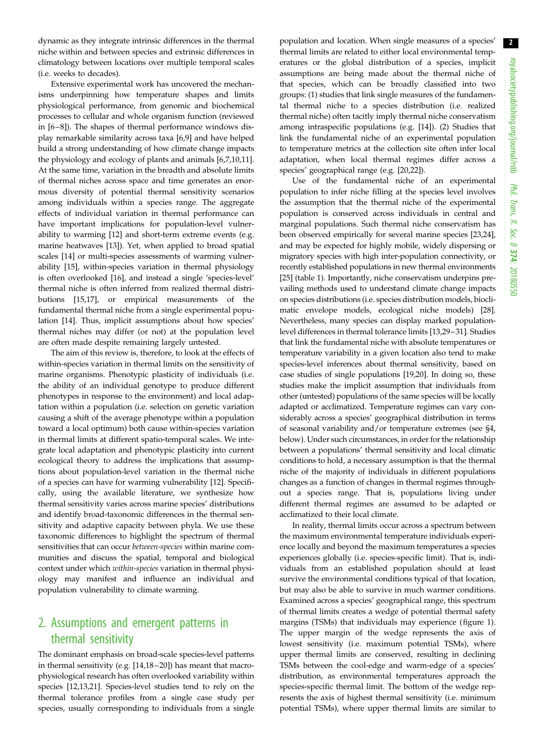dynamic as they integrate intrinsic differences in the thermal niche within and between species and extrinsic differences in climatology between locations over multiple temporal scales (i.e. weeks to decades).

Extensive experimental work has uncovered the mechanisms underpinning how temperature shapes and limits physiological performance, from genomic and biochemical processes to cellular and whole organism function (reviewed in [\[6](#page-8-0)–[8\]](#page-8-0)). The shapes of thermal performance windows display remarkable similarity across taxa [[6,9\]](#page-8-0) and have helped build a strong understanding of how climate change impacts the physiology and ecology of plants and animals [[6,7,10,11](#page-8-0)]. At the same time, variation in the breadth and absolute limits of thermal niches across space and time generates an enormous diversity of potential thermal sensitivity scenarios among individuals within a species range. The aggregate effects of individual variation in thermal performance can have important implications for population-level vulnerability to warming [\[12](#page-8-0)] and short-term extreme events (e.g. marine heatwaves [\[13](#page-8-0)]). Yet, when applied to broad spatial scales [\[14](#page-8-0)] or multi-species assessments of warming vulnerability [[15\]](#page-8-0), within-species variation in thermal physiology is often overlooked [\[16](#page-8-0)], and instead a single 'species-level' thermal niche is often inferred from realized thermal distributions [\[15,17](#page-8-0)], or empirical measurements of the fundamental thermal niche from a single experimental population [[14\]](#page-8-0). Thus, implicit assumptions about how species' thermal niches may differ (or not) at the population level are often made despite remaining largely untested.

The aim of this review is, therefore, to look at the effects of within-species variation in thermal limits on the sensitivity of marine organisms. Phenotypic plasticity of individuals (i.e. the ability of an individual genotype to produce different phenotypes in response to the environment) and local adaptation within a population (i.e. selection on genetic variation causing a shift of the average phenotype within a population toward a local optimum) both cause within-species variation in thermal limits at different spatio-temporal scales. We integrate local adaptation and phenotypic plasticity into current ecological theory to address the implications that assumptions about population-level variation in the thermal niche of a species can have for warming vulnerability [\[12\]](#page-8-0). Specifically, using the available literature, we synthesize how thermal sensitivity varies across marine species' distributions and identify broad-taxonomic differences in the thermal sensitivity and adaptive capacity between phyla. We use these taxonomic differences to highlight the spectrum of thermal sensitivities that can occur between-species within marine communities and discuss the spatial, temporal and biological context under which within-species variation in thermal physiology may manifest and influence an individual and population vulnerability to climate warming.

# 2. Assumptions and emergent patterns in thermal sensitivity

The dominant emphasis on broad-scale species-level patterns in thermal sensitivity (e.g. [\[14,18](#page-8-0) –[20\]](#page-8-0)) has meant that macrophysiological research has often overlooked variability within species [\[12](#page-8-0),[13,21\]](#page-8-0). Species-level studies tend to rely on the thermal tolerance profiles from a single case study per species, usually corresponding to individuals from a single

population and location. When single measures of a species' thermal limits are related to either local environmental temperatures or the global distribution of a species, implicit assumptions are being made about the thermal niche of that species, which can be broadly classified into two groups: (1) studies that link single measures of the fundamental thermal niche to a species distribution (i.e. realized thermal niche) often tacitly imply thermal niche conservatism among intraspecific populations (e.g. [\[14](#page-8-0)]). (2) Studies that link the fundamental niche of an experimental population to temperature metrics at the collection site often infer local adaptation, when local thermal regimes differ across a species' geographical range (e.g. [\[20](#page-8-0),[22\]](#page-8-0)).

Use of the fundamental niche of an experimental population to infer niche filling at the species level involves the assumption that the thermal niche of the experimental population is conserved across individuals in central and marginal populations. Such thermal niche conservatism has been observed empirically for several marine species [[23,24\]](#page-8-0), and may be expected for highly mobile, widely dispersing or migratory species with high inter-population connectivity, or recently established populations in new thermal environments [[25\]](#page-8-0) ([table 1\)](#page-2-0). Importantly, niche conservatism underpins prevailing methods used to understand climate change impacts on species distributions (i.e. species distribution models, bioclimatic envelope models, ecological niche models) [[28\]](#page-8-0). Nevertheless, many species can display marked populationlevel differences in thermal tolerance limits [[13,29](#page-8-0)–[31](#page-8-0)]. Studies that link the fundamental niche with absolute temperatures or temperature variability in a given location also tend to make species-level inferences about thermal sensitivity, based on case studies of single populations [\[19](#page-8-0),[20](#page-8-0)]. In doing so, these studies make the implicit assumption that individuals from other (untested) populations of the same species will be locally adapted or acclimatized. Temperature regimes can vary considerably across a species' geographical distribution in terms of seasonal variability and/or temperature extremes (see §4, below). Under such circumstances, in order for the relationship between a populations' thermal sensitivity and local climatic conditions to hold, a necessary assumption is that the thermal niche of the majority of individuals in different populations changes as a function of changes in thermal regimes throughout a species range. That is, populations living under different thermal regimes are assumed to be adapted or acclimatized to their local climate.

In reality, thermal limits occur across a spectrum between the maximum environmental temperature individuals experience locally and beyond the maximum temperatures a species experiences globally (i.e. species-specific limit). That is, individuals from an established population should at least survive the environmental conditions typical of that location, but may also be able to survive in much warmer conditions. Examined across a species' geographical range, this spectrum of thermal limits creates a wedge of potential thermal safety margins (TSMs) that individuals may experience ([figure 1\)](#page-3-0). The upper margin of the wedge represents the axis of lowest sensitivity (i.e. maximum potential TSMs), where upper thermal limits are conserved, resulting in declining TSMs between the cool-edge and warm-edge of a species' distribution, as environmental temperatures approach the species-specific thermal limit. The bottom of the wedge represents the axis of highest thermal sensitivity (i.e. minimum potential TSMs), where upper thermal limits are similar to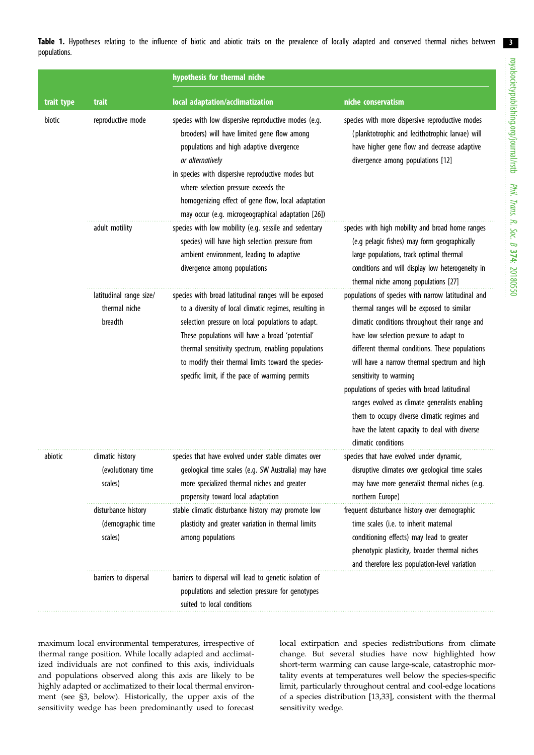3

<span id="page-2-0"></span>Table 1. Hypotheses relating to the influence of biotic and abiotic traits on the prevalence of locally adapted and conserved thermal niches between populations.

|            |                                                     | hypothesis for thermal niche                                                                                                                                                                                                                                                                                                                                                          |                                                                                                                                                                                                                                                                                                                                                                                                                                                                                                                                                     |
|------------|-----------------------------------------------------|---------------------------------------------------------------------------------------------------------------------------------------------------------------------------------------------------------------------------------------------------------------------------------------------------------------------------------------------------------------------------------------|-----------------------------------------------------------------------------------------------------------------------------------------------------------------------------------------------------------------------------------------------------------------------------------------------------------------------------------------------------------------------------------------------------------------------------------------------------------------------------------------------------------------------------------------------------|
| trait type | trait                                               | local adaptation/acclimatization                                                                                                                                                                                                                                                                                                                                                      | niche conservatism                                                                                                                                                                                                                                                                                                                                                                                                                                                                                                                                  |
| biotic     | reproductive mode                                   | species with low dispersive reproductive modes (e.g.<br>brooders) will have limited gene flow among<br>populations and high adaptive divergence<br>or alternatively<br>in species with dispersive reproductive modes but<br>where selection pressure exceeds the<br>homogenizing effect of gene flow, local adaptation<br>may occur (e.g. microgeographical adaptation [26])          | species with more dispersive reproductive modes<br>(planktotrophic and lecithotrophic larvae) will<br>have higher gene flow and decrease adaptive<br>divergence among populations [12]                                                                                                                                                                                                                                                                                                                                                              |
|            | adult motility                                      | species with low mobility (e.g. sessile and sedentary<br>species) will have high selection pressure from<br>ambient environment, leading to adaptive<br>divergence among populations                                                                                                                                                                                                  | species with high mobility and broad home ranges<br>(e.g pelagic fishes) may form geographically<br>large populations, track optimal thermal<br>conditions and will display low heterogeneity in<br>thermal niche among populations [27]                                                                                                                                                                                                                                                                                                            |
|            | latitudinal range size/<br>thermal niche<br>breadth | species with broad latitudinal ranges will be exposed<br>to a diversity of local climatic regimes, resulting in<br>selection pressure on local populations to adapt.<br>These populations will have a broad 'potential'<br>thermal sensitivity spectrum, enabling populations<br>to modify their thermal limits toward the species-<br>specific limit, if the pace of warming permits | populations of species with narrow latitudinal and<br>thermal ranges will be exposed to similar<br>climatic conditions throughout their range and<br>have low selection pressure to adapt to<br>different thermal conditions. These populations<br>will have a narrow thermal spectrum and high<br>sensitivity to warming<br>populations of species with broad latitudinal<br>ranges evolved as climate generalists enabling<br>them to occupy diverse climatic regimes and<br>have the latent capacity to deal with diverse<br>climatic conditions |
| abiotic    | climatic history<br>(evolutionary time<br>scales)   | species that have evolved under stable climates over<br>geological time scales (e.g. SW Australia) may have<br>more specialized thermal niches and greater<br>propensity toward local adaptation                                                                                                                                                                                      | species that have evolved under dynamic,<br>disruptive climates over geological time scales<br>may have more generalist thermal niches (e.g.<br>northern Europe)                                                                                                                                                                                                                                                                                                                                                                                    |
|            | disturbance history<br>(demographic time<br>scales) | stable climatic disturbance history may promote low<br>plasticity and greater variation in thermal limits<br>among populations                                                                                                                                                                                                                                                        | frequent disturbance history over demographic<br>time scales (i.e. to inherit maternal<br>conditioning effects) may lead to greater<br>phenotypic plasticity, broader thermal niches<br>and therefore less population-level variation                                                                                                                                                                                                                                                                                                               |
|            | barriers to dispersal                               | barriers to dispersal will lead to genetic isolation of<br>populations and selection pressure for genotypes<br>suited to local conditions                                                                                                                                                                                                                                             |                                                                                                                                                                                                                                                                                                                                                                                                                                                                                                                                                     |

maximum local environmental temperatures, irrespective of thermal range position. While locally adapted and acclimatized individuals are not confined to this axis, individuals and populations observed along this axis are likely to be highly adapted or acclimatized to their local thermal environment (see §3, below). Historically, the upper axis of the sensitivity wedge has been predominantly used to forecast local extirpation and species redistributions from climate change. But several studies have now highlighted how short-term warming can cause large-scale, catastrophic mortality events at temperatures well below the species-specific limit, particularly throughout central and cool-edge locations of a species distribution [\[13,33](#page-8-0)], consistent with the thermal sensitivity wedge.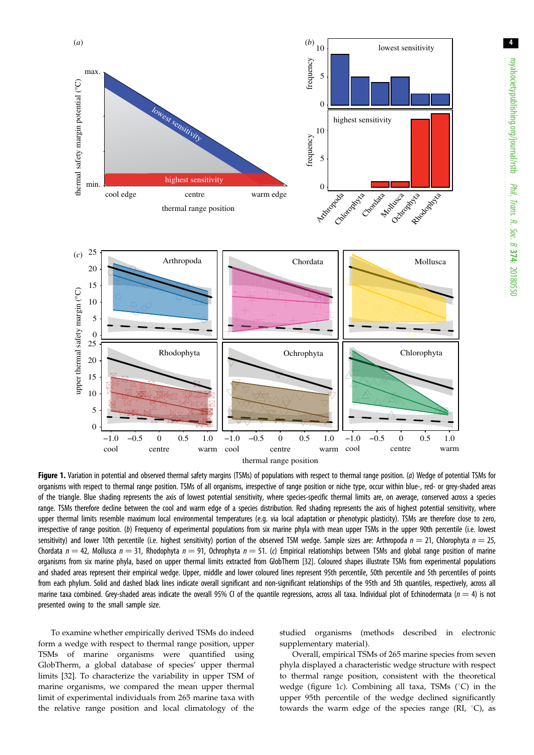<span id="page-3-0"></span>

Figure 1. Variation in potential and observed thermal safety margins (TSMs) of populations with respect to thermal range position. (a) Wedge of potential TSMs for organisms with respect to thermal range position. TSMs of all organisms, irrespective of range position or niche type, occur within blue-, red- or grey-shaded areas of the triangle. Blue shading represents the axis of lowest potential sensitivity, where species-specific thermal limits are, on average, conserved across a species range. TSMs therefore decline between the cool and warm edge of a species distribution. Red shading represents the axis of highest potential sensitivity, where upper thermal limits resemble maximum local environmental temperatures (e.g. via local adaptation or phenotypic plasticity). TSMs are therefore close to zero, irrespective of range position. (b) Frequency of experimental populations from six marine phyla with mean upper TSMs in the upper 90th percentile (i.e. lowest sensitivity) and lower 10th percentile (i.e. highest sensitivity) portion of the observed TSM wedge. Sample sizes are: Arthropoda  $n = 21$ , Chlorophyta  $n = 25$ , Chordata  $n = 42$ , Mollusca  $n = 31$ , Rhodophyta  $n = 91$ , Ochrophyta  $n = 51$ . (c) Empirical relationships between TSMs and global range position of marine organisms from six marine phyla, based on upper thermal limits extracted from GlobTherm [[32](#page-8-0)]. Coloured shapes illustrate TSMs from experimental populations and shaded areas represent their empirical wedge. Upper, middle and lower coloured lines represent 95th percentile, 50th percentile and 5th percentiles of points from each phylum. Solid and dashed black lines indicate overall significant and non-significant relationships of the 95th and 5th quantiles, respectively, across all marine taxa combined. Grey-shaded areas indicate the overall 95% CI of the quantile regressions, across all taxa. Individual plot of Echinodermata ( $n = 4$ ) is not presented owing to the small sample size.

To examine whether empirically derived TSMs do indeed form a wedge with respect to thermal range position, upper TSMs of marine organisms were quantified using GlobTherm, a global database of species' upper thermal limits [\[32](#page-8-0)]. To characterize the variability in upper TSM of marine organisms, we compared the mean upper thermal limit of experimental individuals from 265 marine taxa with the relative range position and local climatology of the studied organisms (methods described in electronic supplementary material).

Overall, empirical TSMs of 265 marine species from seven phyla displayed a characteristic wedge structure with respect to thermal range position, consistent with the theoretical wedge (figure 1c). Combining all taxa, TSMs  $(^{\circ}C)$  in the upper 95th percentile of the wedge declined significantly towards the warm edge of the species range (RI,  $^{\circ}$ C), as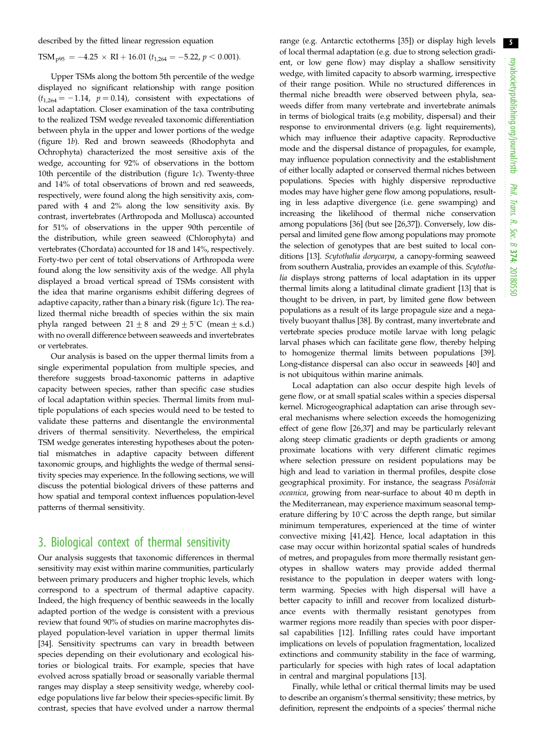described by the fitted linear regression equation

TSM<sub>p95</sub> =  $-4.25 \times \text{RI} + 16.01$  ( $t_{1,264} = -5.22$ ,  $p < 0.001$ ).

Upper TSMs along the bottom 5th percentile of the wedge displayed no significant relationship with range position  $(t_{1,264} = -1.14, p = 0.14)$ , consistent with expectations of local adaptation. Closer examination of the taxa contributing to the realized TSM wedge revealed taxonomic differentiation between phyla in the upper and lower portions of the wedge [\(figure 1](#page-3-0)b). Red and brown seaweeds (Rhodophyta and Ochrophyta) characterized the most sensitive axis of the wedge, accounting for 92% of observations in the bottom 10th percentile of the distribution [\(figure 1](#page-3-0) $c$ ). Twenty-three and 14% of total observations of brown and red seaweeds, respectively, were found along the high sensitivity axis, compared with 4 and 2% along the low sensitivity axis. By contrast, invertebrates (Arthropoda and Mollusca) accounted for 51% of observations in the upper 90th percentile of the distribution, while green seaweed (Chlorophyta) and vertebrates (Chordata) accounted for 18 and 14%, respectively. Forty-two per cent of total observations of Arthropoda were found along the low sensitivity axis of the wedge. All phyla displayed a broad vertical spread of TSMs consistent with the idea that marine organisms exhibit differing degrees of adaptive capacity, rather than a binary risk ([figure 1](#page-3-0)c). The realized thermal niche breadth of species within the six main phyla ranged between  $21 \pm 8$  and  $29 \pm 5^{\circ}$ C (mean  $\pm$  s.d.) with no overall difference between seaweeds and invertebrates or vertebrates.

Our analysis is based on the upper thermal limits from a single experimental population from multiple species, and therefore suggests broad-taxonomic patterns in adaptive capacity between species, rather than specific case studies of local adaptation within species. Thermal limits from multiple populations of each species would need to be tested to validate these patterns and disentangle the environmental drivers of thermal sensitivity. Nevertheless, the empirical TSM wedge generates interesting hypotheses about the potential mismatches in adaptive capacity between different taxonomic groups, and highlights the wedge of thermal sensitivity species may experience. In the following sections, we will discuss the potential biological drivers of these patterns and how spatial and temporal context influences population-level patterns of thermal sensitivity.

## 3. Biological context of thermal sensitivity

Our analysis suggests that taxonomic differences in thermal sensitivity may exist within marine communities, particularly between primary producers and higher trophic levels, which correspond to a spectrum of thermal adaptive capacity. Indeed, the high frequency of benthic seaweeds in the locally adapted portion of the wedge is consistent with a previous review that found 90% of studies on marine macrophytes displayed population-level variation in upper thermal limits [\[34](#page-8-0)]. Sensitivity spectrums can vary in breadth between species depending on their evolutionary and ecological histories or biological traits. For example, species that have evolved across spatially broad or seasonally variable thermal ranges may display a steep sensitivity wedge, whereby cooledge populations live far below their species-specific limit. By contrast, species that have evolved under a narrow thermal range (e.g. Antarctic ectotherms [[35\]](#page-8-0)) or display high levels of local thermal adaptation (e.g. due to strong selection gradient, or low gene flow) may display a shallow sensitivity wedge, with limited capacity to absorb warming, irrespective of their range position. While no structured differences in thermal niche breadth were observed between phyla, seaweeds differ from many vertebrate and invertebrate animals in terms of biological traits (e.g mobility, dispersal) and their response to environmental drivers (e.g. light requirements), which may influence their adaptive capacity. Reproductive mode and the dispersal distance of propagules, for example, may influence population connectivity and the establishment of either locally adapted or conserved thermal niches between populations. Species with highly dispersive reproductive modes may have higher gene flow among populations, resulting in less adaptive divergence (i.e. gene swamping) and increasing the likelihood of thermal niche conservation among populations [[36\]](#page-8-0) (but see [\[26,37\]](#page-8-0)). Conversely, low dispersal and limited gene flow among populations may promote the selection of genotypes that are best suited to local conditions [[13\]](#page-8-0). Scytothalia dorycarpa, a canopy-forming seaweed from southern Australia, provides an example of this. Scytothalia displays strong patterns of local adaptation in its upper thermal limits along a latitudinal climate gradient [[13\]](#page-8-0) that is thought to be driven, in part, by limited gene flow between populations as a result of its large propagule size and a negatively buoyant thallus [\[38](#page-8-0)]. By contrast, many invertebrate and vertebrate species produce motile larvae with long pelagic larval phases which can facilitate gene flow, thereby helping to homogenize thermal limits between populations [[39\]](#page-8-0). Long-distance dispersal can also occur in seaweeds [[40](#page-8-0)] and is not ubiquitous within marine animals.

Local adaptation can also occur despite high levels of gene flow, or at small spatial scales within a species dispersal kernel. Microgeographical adaptation can arise through several mechanisms where selection exceeds the homogenizing effect of gene flow [\[26](#page-8-0),[37\]](#page-8-0) and may be particularly relevant along steep climatic gradients or depth gradients or among proximate locations with very different climatic regimes where selection pressure on resident populations may be high and lead to variation in thermal profiles, despite close geographical proximity. For instance, the seagrass Posidonia oceanica, growing from near-surface to about 40 m depth in the Mediterranean, may experience maximum seasonal temperature differing by  $10^{\circ}$ C across the depth range, but similar minimum temperatures, experienced at the time of winter convective mixing [\[41](#page-8-0),[42\]](#page-8-0). Hence, local adaptation in this case may occur within horizontal spatial scales of hundreds of metres, and propagules from more thermally resistant genotypes in shallow waters may provide added thermal resistance to the population in deeper waters with longterm warming. Species with high dispersal will have a better capacity to infill and recover from localized disturbance events with thermally resistant genotypes from warmer regions more readily than species with poor dispersal capabilities [[12\]](#page-8-0). Infilling rates could have important implications on levels of population fragmentation, localized extinctions and community stability in the face of warming, particularly for species with high rates of local adaptation in central and marginal populations [\[13](#page-8-0)].

Finally, while lethal or critical thermal limits may be used to describe an organism's thermal sensitivity; these metrics, by definition, represent the endpoints of a species' thermal niche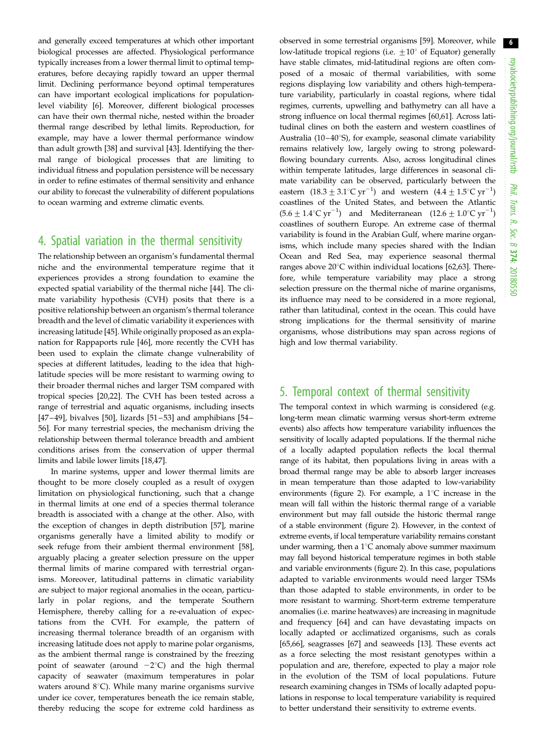and generally exceed temperatures at which other important biological processes are affected. Physiological performance typically increases from a lower thermal limit to optimal temperatures, before decaying rapidly toward an upper thermal limit. Declining performance beyond optimal temperatures can have important ecological implications for populationlevel viability [\[6](#page-8-0)]. Moreover, different biological processes can have their own thermal niche, nested within the broader thermal range described by lethal limits. Reproduction, for example, may have a lower thermal performance window than adult growth [\[38](#page-8-0)] and survival [\[43](#page-8-0)]. Identifying the thermal range of biological processes that are limiting to individual fitness and population persistence will be necessary in order to refine estimates of thermal sensitivity and enhance our ability to forecast the vulnerability of different populations to ocean warming and extreme climatic events.

## 4. Spatial variation in the thermal sensitivity

The relationship between an organism's fundamental thermal niche and the environmental temperature regime that it experiences provides a strong foundation to examine the expected spatial variability of the thermal niche [\[44](#page-8-0)]. The climate variability hypothesis (CVH) posits that there is a positive relationship between an organism's thermal tolerance breadth and the level of climatic variability it experiences with increasing latitude [[45\]](#page-8-0). While originally proposed as an explanation for Rappaports rule [[46\]](#page-8-0), more recently the CVH has been used to explain the climate change vulnerability of species at different latitudes, leading to the idea that highlatitude species will be more resistant to warming owing to their broader thermal niches and larger TSM compared with tropical species [\[20,22](#page-8-0)]. The CVH has been tested across a range of terrestrial and aquatic organisms, including insects [\[47](#page-8-0)-[49\]](#page-9-0), bivalves [[50\]](#page-9-0), lizards [[51](#page-9-0)-53] and amphibians [\[54](#page-9-0)-[56\]](#page-9-0). For many terrestrial species, the mechanism driving the relationship between thermal tolerance breadth and ambient conditions arises from the conservation of upper thermal limits and labile lower limits [[18,47](#page-8-0)].

In marine systems, upper and lower thermal limits are thought to be more closely coupled as a result of oxygen limitation on physiological functioning, such that a change in thermal limits at one end of a species thermal tolerance breadth is associated with a change at the other. Also, with the exception of changes in depth distribution [[57\]](#page-9-0), marine organisms generally have a limited ability to modify or seek refuge from their ambient thermal environment [\[58](#page-9-0)], arguably placing a greater selection pressure on the upper thermal limits of marine compared with terrestrial organisms. Moreover, latitudinal patterns in climatic variability are subject to major regional anomalies in the ocean, particularly in polar regions, and the temperate Southern Hemisphere, thereby calling for a re-evaluation of expectations from the CVH. For example, the pattern of increasing thermal tolerance breadth of an organism with increasing latitude does not apply to marine polar organisms, as the ambient thermal range is constrained by the freezing point of seawater (around  $-2^{\circ}$ C) and the high thermal capacity of seawater (maximum temperatures in polar waters around  $8^{\circ}$ C). While many marine organisms survive under ice cover, temperatures beneath the ice remain stable, thereby reducing the scope for extreme cold hardiness as

observed in some terrestrial organisms [\[59](#page-9-0)]. Moreover, while low-latitude tropical regions (i.e.  $\pm 10^{\circ}$  of Equator) generally have stable climates, mid-latitudinal regions are often composed of a mosaic of thermal variabilities, with some regions displaying low variability and others high-temperature variability, particularly in coastal regions, where tidal regimes, currents, upwelling and bathymetry can all have a strong influence on local thermal regimes [[60,61\]](#page-9-0). Across latitudinal clines on both the eastern and western coastlines of Australia (10–40 $\degree$ S), for example, seasonal climate variability remains relatively low, largely owing to strong polewardflowing boundary currents. Also, across longitudinal clines within temperate latitudes, large differences in seasonal climate variability can be observed, particularly between the eastern  $(18.3 \pm 3.1^{\circ} \text{C yr}^{-1})$  and western  $(4.4 \pm 1.5^{\circ} \text{C yr}^{-1})$ coastlines of the United States, and between the Atlantic  $(5.6 \pm 1.4^{\circ} \text{C yr}^{-1})$  and Mediterranean  $(12.6 \pm 1.0^{\circ} \text{C yr}^{-1})$ coastlines of southern Europe. An extreme case of thermal variability is found in the Arabian Gulf, where marine organisms, which include many species shared with the Indian Ocean and Red Sea, may experience seasonal thermal ranges above  $20^{\circ}$ C within individual locations [[62,63\]](#page-9-0). Therefore, while temperature variability may place a strong selection pressure on the thermal niche of marine organisms, its influence may need to be considered in a more regional, rather than latitudinal, context in the ocean. This could have strong implications for the thermal sensitivity of marine organisms, whose distributions may span across regions of high and low thermal variability.

# 5. Temporal context of thermal sensitivity

The temporal context in which warming is considered (e.g. long-term mean climatic warming versus short-term extreme events) also affects how temperature variability influences the sensitivity of locally adapted populations. If the thermal niche of a locally adapted population reflects the local thermal range of its habitat, then populations living in areas with a broad thermal range may be able to absorb larger increases in mean temperature than those adapted to low-variability environments [\(figure 2\)](#page-6-0). For example, a  $1^{\circ}$ C increase in the mean will fall within the historic thermal range of a variable environment but may fall outside the historic thermal range of a stable environment [\(figure 2\)](#page-6-0). However, in the context of extreme events, if local temperature variability remains constant under warming, then a  $1^{\circ}$ C anomaly above summer maximum may fall beyond historical temperature regimes in both stable and variable environments [\(figure 2](#page-6-0)). In this case, populations adapted to variable environments would need larger TSMs than those adapted to stable environments, in order to be more resistant to warming. Short-term extreme temperature anomalies (i.e. marine heatwaves) are increasing in magnitude and frequency [\[64](#page-9-0)] and can have devastating impacts on locally adapted or acclimatized organisms, such as corals [[65,66\]](#page-9-0), seagrasses [[67\]](#page-9-0) and seaweeds [[13\]](#page-8-0). These events act as a force selecting the most resistant genotypes within a population and are, therefore, expected to play a major role in the evolution of the TSM of local populations. Future research examining changes in TSMs of locally adapted populations in response to local temperature variability is required to better understand their sensitivity to extreme events.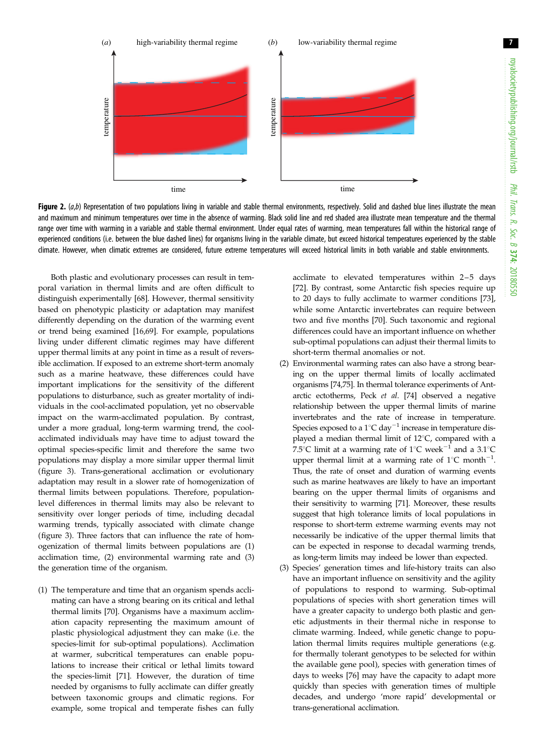7

<span id="page-6-0"></span>

Figure 2.  $(a,b)$  Representation of two populations living in variable and stable thermal environments, respectively. Solid and dashed blue lines illustrate the mean and maximum and minimum temperatures over time in the absence of warming. Black solid line and red shaded area illustrate mean temperature and the thermal range over time with warming in a variable and stable thermal environment. Under equal rates of warming, mean temperatures fall within the historical range of experienced conditions (i.e. between the blue dashed lines) for organisms living in the variable climate, but exceed historical temperatures experienced by the stable climate. However, when climatic extremes are considered, future extreme temperatures will exceed historical limits in both variable and stable environments.

Both plastic and evolutionary processes can result in temporal variation in thermal limits and are often difficult to distinguish experimentally [[68\]](#page-9-0). However, thermal sensitivity based on phenotypic plasticity or adaptation may manifest differently depending on the duration of the warming event or trend being examined [\[16](#page-8-0)[,69](#page-9-0)]. For example, populations living under different climatic regimes may have different upper thermal limits at any point in time as a result of reversible acclimation. If exposed to an extreme short-term anomaly such as a marine heatwave, these differences could have important implications for the sensitivity of the different populations to disturbance, such as greater mortality of individuals in the cool-acclimated population, yet no observable impact on the warm-acclimated population. By contrast, under a more gradual, long-term warming trend, the coolacclimated individuals may have time to adjust toward the optimal species-specific limit and therefore the same two populations may display a more similar upper thermal limit [\(figure 3](#page-7-0)). Trans-generational acclimation or evolutionary adaptation may result in a slower rate of homogenization of thermal limits between populations. Therefore, populationlevel differences in thermal limits may also be relevant to sensitivity over longer periods of time, including decadal warming trends, typically associated with climate change [\(figure 3](#page-7-0)). Three factors that can influence the rate of homogenization of thermal limits between populations are (1) acclimation time, (2) environmental warming rate and (3) the generation time of the organism.

(1) The temperature and time that an organism spends acclimating can have a strong bearing on its critical and lethal thermal limits [\[70](#page-9-0)]. Organisms have a maximum acclimation capacity representing the maximum amount of plastic physiological adjustment they can make (i.e. the species-limit for sub-optimal populations). Acclimation at warmer, subcritical temperatures can enable populations to increase their critical or lethal limits toward the species-limit [[71\]](#page-9-0). However, the duration of time needed by organisms to fully acclimate can differ greatly between taxonomic groups and climatic regions. For example, some tropical and temperate fishes can fully

acclimate to elevated temperatures within  $2-5$  days [\[72\]](#page-9-0). By contrast, some Antarctic fish species require up to 20 days to fully acclimate to warmer conditions [[73\]](#page-9-0), while some Antarctic invertebrates can require between two and five months [[70\]](#page-9-0). Such taxonomic and regional differences could have an important influence on whether sub-optimal populations can adjust their thermal limits to short-term thermal anomalies or not.

- (2) Environmental warming rates can also have a strong bearing on the upper thermal limits of locally acclimated organisms [\[74,75\]](#page-9-0). In thermal tolerance experiments of Antarctic ectotherms, Peck et al. [\[74](#page-9-0)] observed a negative relationship between the upper thermal limits of marine invertebrates and the rate of increase in temperature. Species exposed to a  $1^{\circ}$ C day<sup>-1</sup> increase in temperature displayed a median thermal limit of  $12^{\circ}$ C, compared with a 7.5°C limit at a warming rate of  $1^{\circ}$ C week<sup>-1</sup> and a 3.1°C upper thermal limit at a warming rate of  $1^{\circ}$ C month<sup>-1</sup>. Thus, the rate of onset and duration of warming events such as marine heatwaves are likely to have an important bearing on the upper thermal limits of organisms and their sensitivity to warming [[71](#page-9-0)]. Moreover, these results suggest that high tolerance limits of local populations in response to short-term extreme warming events may not necessarily be indicative of the upper thermal limits that can be expected in response to decadal warming trends, as long-term limits may indeed be lower than expected.
- (3) Species' generation times and life-history traits can also have an important influence on sensitivity and the agility of populations to respond to warming. Sub-optimal populations of species with short generation times will have a greater capacity to undergo both plastic and genetic adjustments in their thermal niche in response to climate warming. Indeed, while genetic change to population thermal limits requires multiple generations (e.g. for thermally tolerant genotypes to be selected for within the available gene pool), species with generation times of days to weeks [[76\]](#page-9-0) may have the capacity to adapt more quickly than species with generation times of multiple decades, and undergo 'more rapid' developmental or trans-generational acclimation.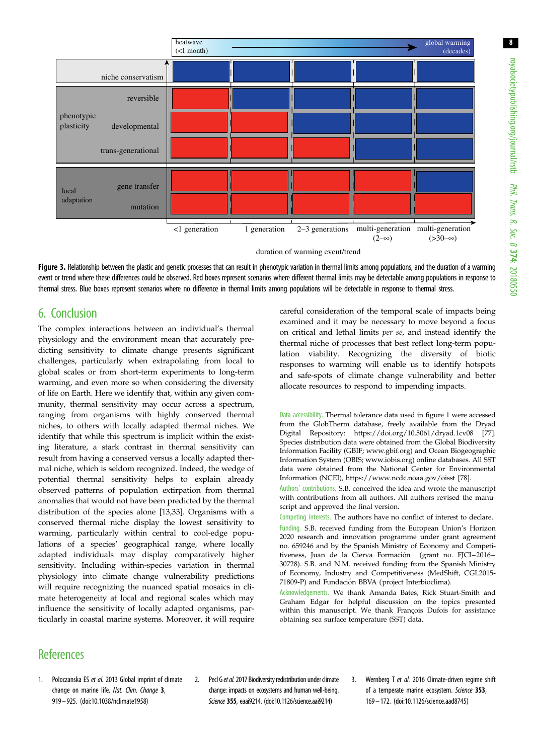<span id="page-7-0"></span>

duration of warming event/trend

Figure 3. Relationship between the plastic and genetic processes that can result in phenotypic variation in thermal limits among populations, and the duration of a warming event or trend where these differences could be observed. Red boxes represent scenarios where different thermal limits may be detectable among populations in response to thermal stress. Blue boxes represent scenarios where no difference in thermal limits among populations will be detectable in response to thermal stress.

# 6. Conclusion

The complex interactions between an individual's thermal physiology and the environment mean that accurately predicting sensitivity to climate change presents significant challenges, particularly when extrapolating from local to global scales or from short-term experiments to long-term warming, and even more so when considering the diversity of life on Earth. Here we identify that, within any given community, thermal sensitivity may occur across a spectrum, ranging from organisms with highly conserved thermal niches, to others with locally adapted thermal niches. We identify that while this spectrum is implicit within the existing literature, a stark contrast in thermal sensitivity can result from having a conserved versus a locally adapted thermal niche, which is seldom recognized. Indeed, the wedge of potential thermal sensitivity helps to explain already observed patterns of population extirpation from thermal anomalies that would not have been predicted by the thermal distribution of the species alone [[13,33\]](#page-8-0). Organisms with a conserved thermal niche display the lowest sensitivity to warming, particularly within central to cool-edge populations of a species' geographical range, where locally adapted individuals may display comparatively higher sensitivity. Including within-species variation in thermal physiology into climate change vulnerability predictions will require recognizing the nuanced spatial mosaics in climate heterogeneity at local and regional scales which may influence the sensitivity of locally adapted organisms, particularly in coastal marine systems. Moreover, it will require

careful consideration of the temporal scale of impacts being examined and it may be necessary to move beyond a focus on critical and lethal limits per se, and instead identify the thermal niche of processes that best reflect long-term population viability. Recognizing the diversity of biotic responses to warming will enable us to identify hotspots and safe-spots of climate change vulnerability and better allocate resources to respond to impending impacts.

Data accessibility. Thermal tolerance data used in [figure 1](#page-3-0) were accessed from the GlobTherm database, freely available from the Dryad Digital Repository:<https://doi.org/10.5061/dryad.1cv08> [\[77](#page-9-0)]. Species distribution data were obtained from the Global Biodiversity Information Facility (GBIF; [www.gbif.org\)](http://www.gbif.org) and Ocean Biogeographic Information System (OBIS; [www.iobis.org\)](http://www.iobis.org) online databases. All SST data were obtained from the National Center for Environmental Information (NCEI),<https://www.ncdc.noaa.gov/oisst> [\[78](#page-9-0)].

Authors' contributions. S.B. conceived the idea and wrote the manuscript with contributions from all authors. All authors revised the manuscript and approved the final version.

Competing interests. The authors have no conflict of interest to declare. Funding. S.B. received funding from the European Union's Horizon 2020 research and innovation programme under grant agreement no. 659246 and by the Spanish Ministry of Economy and Competitiveness, Juan de la Cierva Formación (grant no. FJCI-2016-30728). S.B. and N.M. received funding from the Spanish Ministry of Economy, Industry and Competitiveness (MedShift, CGL2015- 71809-P) and Fundación BBVA (project Interbioclima).

Acknowledgements. We thank Amanda Bates, Rick Stuart-Smith and Graham Edgar for helpful discussion on the topics presented within this manuscript. We thank François Dufois for assistance obtaining sea surface temperature (SST) data.

# **References**

- 1. Poloczanska ES et al. 2013 Global imprint of climate change on marine life. Nat. Clim. Change 3, 919– 925. ([doi:10.1038/nclimate1958](http://dx.doi.org/10.1038/nclimate1958))
- 2. Ped G et al. 2017 Biodiversity redistribution under climate change: impacts on ecosystems and human well-being. Science 355, eaai9214. [\(doi:10.1126/science.aai9214](http://dx.doi.org/10.1126/science.aai9214))
- 3. Wernberg T et al. 2016 Climate-driven regime shift of a temperate marine ecosystem. Science 353, 169– 172. [\(doi:10.1126/science.aad8745](http://dx.doi.org/10.1126/science.aad8745))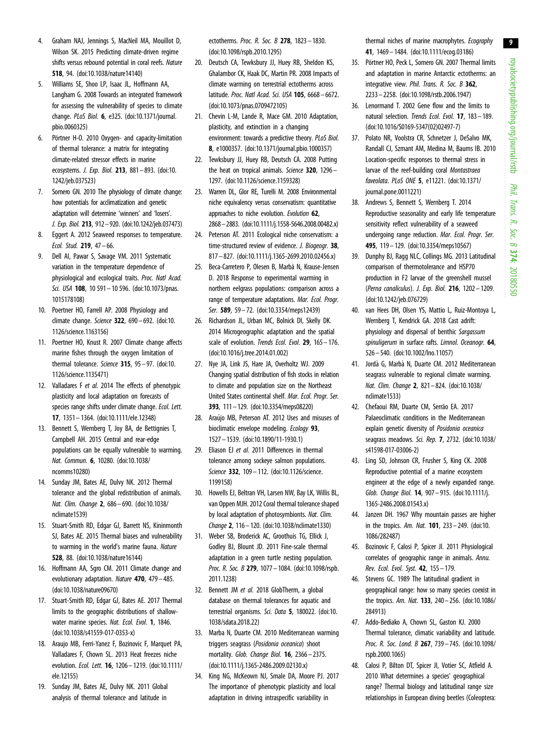- <span id="page-8-0"></span>4. Graham NAJ, Jennings S, MacNeil MA, Mouillot D, Wilson SK. 2015 Predicting climate-driven regime shifts versus rebound potential in coral reefs. Nature 518, 94. ([doi:10.1038/nature14140\)](http://dx.doi.org/10.1038/nature14140)
- 5. Williams SE, Shoo LP, Isaac JL, Hoffmann AA, Langham G. 2008 Towards an integrated framework for assessing the vulnerability of species to climate change. PLoS Biol. 6, e325. ([doi:10.1371/journal.](http://dx.doi.org/10.1371/journal.pbio.0060325) [pbio.0060325](http://dx.doi.org/10.1371/journal.pbio.0060325))
- 6. Pörtner H-O. 2010 Oxygen- and capacity-limitation of thermal tolerance: a matrix for integrating climate-related stressor effects in marine ecosystems. J. Exp. Biol. 213, 881– 893. [\(doi:10.](http://dx.doi.org/10.1242/jeb.037523) [1242/jeb.037523](http://dx.doi.org/10.1242/jeb.037523))
- 7. Somero GN. 2010 The physiology of climate change: how potentials for acclimatization and genetic adaptation will determine 'winners' and 'losers'. J. Exp. Biol. 213, 912–920. [\(doi:10.1242/jeb.037473](http://dx.doi.org/10.1242/jeb.037473))
- 8. Eggert A. 2012 Seaweed responses to temperature. Ecol. Stud. 219, 47 – 66.
- 9. Dell AI, Pawar S, Savage VM. 2011 Systematic variation in the temperature dependence of physiological and ecological traits. Proc. Natl Acad. Sci. USA 108, 10 591 - 10 596. [\(doi:10.1073/pnas.](http://dx.doi.org/10.1073/pnas.1015178108) [1015178108\)](http://dx.doi.org/10.1073/pnas.1015178108)
- 10. Poertner HO, Farrell AP. 2008 Physiology and climate change. Science 322, 690– 692. ([doi:10.](http://dx.doi.org/10.1126/science.1163156) [1126/science.1163156\)](http://dx.doi.org/10.1126/science.1163156)
- 11. Poertner HO, Knust R. 2007 Climate change affects marine fishes through the oxygen limitation of thermal tolerance. Science 315, 95-97. [\(doi:10.](http://dx.doi.org/10.1126/science.1135471) [1126/science.1135471\)](http://dx.doi.org/10.1126/science.1135471)
- 12. Valladares F et al. 2014 The effects of phenotypic plasticity and local adaptation on forecasts of species range shifts under climate change. Ecol. Lett. 17, 1351– 1364. [\(doi:10.1111/ele.12348\)](http://dx.doi.org/10.1111/ele.12348)
- 13. Bennett S, Wernberg T, Joy BA, de Bettignies T, Campbell AH. 2015 Central and rear-edge populations can be equally vulnerable to warming. Nat. Commun. 6, 10280. ([doi:10.1038/](http://dx.doi.org/10.1038/ncomms10280) [ncomms10280](http://dx.doi.org/10.1038/ncomms10280))
- 14. Sunday JM, Bates AE, Dulvy NK. 2012 Thermal tolerance and the global redistribution of animals. Nat. Clim. Change 2, 686 – 690. [\(doi:10.1038/](http://dx.doi.org/10.1038/nclimate1539) [nclimate1539](http://dx.doi.org/10.1038/nclimate1539))
- 15. Stuart-Smith RD, Edgar GJ, Barrett NS, Kininmonth SJ, Bates AE. 2015 Thermal biases and vulnerability to warming in the world's marine fauna. Nature 528, 88. ([doi:10.1038/nature16144\)](http://dx.doi.org/10.1038/nature16144)
- 16. Hoffmann AA, Sgro CM. 2011 Climate change and evolutionary adaptation. Nature 470, 479-485. [\(doi:10.1038/nature09670](http://dx.doi.org/10.1038/nature09670))
- 17. Stuart-Smith RD, Edgar GJ, Bates AE. 2017 Thermal limits to the geographic distributions of shallowwater marine species. Nat. Ecol. Evol. 1, 1846. [\(doi:10.1038/s41559-017-0353-x](http://dx.doi.org/10.1038/s41559-017-0353-x))
- 18. Araujo MB, Ferri-Yanez F, Bozinovic F, Marquet PA, Valladares F, Chown SL. 2013 Heat freezes niche evolution. Ecol. Lett. 16, 1206– 1219. ([doi:10.1111/](http://dx.doi.org/10.1111/ele.12155) [ele.12155\)](http://dx.doi.org/10.1111/ele.12155)
- 19. Sunday JM, Bates AE, Dulvy NK. 2011 Global analysis of thermal tolerance and latitude in

ectotherms. Proc. R. Soc. B 278, 1823 - 1830. [\(doi:10.1098/rspb.2010.1295\)](http://dx.doi.org/10.1098/rspb.2010.1295)

- 20. Deutsch CA, Tewksbury JJ, Huey RB, Sheldon KS, Ghalambor CK, Haak DC, Martin PR. 2008 Impacts of climate warming on terrestrial ectotherms across latitude. Proc. Natl Acad. Sci. USA 105, 6668-6672. [\(doi:10.1073/pnas.0709472105\)](http://dx.doi.org/10.1073/pnas.0709472105)
- 21. Chevin L-M, Lande R, Mace GM. 2010 Adaptation, plasticity, and extinction in a changing environment: towards a predictive theory. PLoS Biol. 8, e1000357. [\(doi:10.1371/journal.pbio.1000357\)](http://dx.doi.org/10.1371/journal.pbio.1000357)
- 22. Tewksbury JJ, Huey RB, Deutsch CA. 2008 Putting the heat on tropical animals. Science 320, 1296-1297. [\(doi:10.1126/science.1159328\)](http://dx.doi.org/10.1126/science.1159328)
- 23. Warren DL, Glor RE, Turelli M. 2008 Environmental niche equivalency versus conservatism: quantitative approaches to niche evolution. Evolution 62, 2868–2883. [\(doi:10.1111/j.1558-5646.2008.00482.x](http://dx.doi.org/10.1111/j.1558-5646.2008.00482.x))
- 24. Peterson AT. 2011 Ecological niche conservatism: a time-structured review of evidence. J. Biogeogr. 38, 817 – 827. [\(doi:10.1111/j.1365-2699.2010.02456.x](http://dx.doi.org/10.1111/j.1365-2699.2010.02456.x))
- 25. Beca-Carretero P, Olesen B, Marbà N, Krause-Jensen D. 2018 Response to experimental warming in northern eelgrass populations: comparison across a range of temperature adaptations. Mar. Ecol. Progr. Ser. 589, 59-72. ([doi:10.3354/meps12439\)](http://dx.doi.org/10.3354/meps12439)
- 26. Richardson JL, Urban MC, Bolnick DI, Skelly DK. 2014 Microgeographic adaptation and the spatial scale of evolution. Trends Ecol. Evol. 29, 165 - 176. [\(doi:10.1016/j.tree.2014.01.002](http://dx.doi.org/10.1016/j.tree.2014.01.002))
- 27. Nye JA, Link JS, Hare JA, Overholtz WJ. 2009 Changing spatial distribution of fish stocks in relation to climate and population size on the Northeast United States continental shelf. Mar. Ecol. Progr. Ser. 393, 111–129. ([doi:10.3354/meps08220](http://dx.doi.org/10.3354/meps08220))
- 28. Araújo MB, Peterson AT. 2012 Uses and misuses of bioclimatic envelope modeling. *Ecology* 93, 1527– 1539. [\(doi:10.1890/11-1930.1](http://dx.doi.org/10.1890/11-1930.1))
- 29. Eliason EJ et al. 2011 Differences in thermal tolerance among sockeye salmon populations. Science 332, 109-112. [\(doi:10.1126/science.](http://dx.doi.org/10.1126/science.1199158) [1199158\)](http://dx.doi.org/10.1126/science.1199158)
- 30. Howells EJ, Beltran VH, Larsen NW, Bay LK, Willis BL, van Oppen MJH. 2012 Coral thermal tolerance shaped by local adaptation of photosymbionts. Nat. Clim. Change 2, 116– 120. [\(doi:10.1038/nclimate1330\)](http://dx.doi.org/10.1038/nclimate1330)
- 31. Weber SB, Broderick AC, Groothuis TG, Ellick J, Godley BJ, Blount JD. 2011 Fine-scale thermal adaptation in a green turtle nesting population. Proc. R. Soc. B 279, 1077– 1084. ([doi:10.1098/rspb.](http://dx.doi.org/10.1098/rspb.2011.1238) [2011.1238\)](http://dx.doi.org/10.1098/rspb.2011.1238)
- 32. Bennett JM et al. 2018 GlobTherm, a global database on thermal tolerances for aquatic and terrestrial organisms. Sci. Data 5, 180022. ([doi:10.](http://dx.doi.org/10.1038/sdata.2018.22) [1038/sdata.2018.22\)](http://dx.doi.org/10.1038/sdata.2018.22)
- 33. Marba N, Duarte CM. 2010 Mediterranean warming triggers seagrass (Posidonia oceanica) shoot mortality. Glob. Change Biol. **16**, 2366 - 2375. [\(doi:10.1111/j.1365-2486.2009.02130.x\)](http://dx.doi.org/10.1111/j.1365-2486.2009.02130.x)
- 34. King NG, McKeown NJ, Smale DA, Moore PJ. 2017 The importance of phenotypic plasticity and local adaptation in driving intraspecific variability in

thermal niches of marine macrophytes. Ecography 41, 1469– 1484. [\(doi:10.1111/ecog.03186\)](http://dx.doi.org/10.1111/ecog.03186)

- 35. Pörtner HO, Peck L, Somero GN. 2007 Thermal limits and adaptation in marine Antarctic ectotherms: an integrative view. Phil. Trans. R. Soc. B 362, 2233– 2258. ([doi:10.1098/rstb.2006.1947](http://dx.doi.org/10.1098/rstb.2006.1947))
- 36. Lenormand T. 2002 Gene flow and the limits to natural selection. Trends Ecol. Evol. 17, 183– 189. ([doi:10.1016/S0169-5347\(02\)02497-7](http://dx.doi.org/10.1016/S0169-5347(02)02497-7))
- 37. Polato NR, Voolstra CR, Schnetzer J, DeSalvo MK, Randall CJ, Szmant AM, Medina M, Baums IB. 2010 Location-specific responses to thermal stress in larvae of the reef-building coral Montastraea faveolata. PLoS ONE 5, e11221. ([doi:10.1371/](http://dx.doi.org/10.1371/journal.pone.0011221) [journal.pone.0011221\)](http://dx.doi.org/10.1371/journal.pone.0011221)
- 38. Andrews S, Bennett S, Wernberg T. 2014 Reproductive seasonality and early life temperature sensitivity reflect vulnerability of a seaweed undergoing range reduction. Mar. Ecol. Progr. Ser. 495, 119– 129. [\(doi:10.3354/meps10567](http://dx.doi.org/10.3354/meps10567))
- 39. Dunphy BJ, Ragg NLC, Collings MG. 2013 Latitudinal comparison of thermotolerance and HSP70 production in F2 larvae of the greenshell mussel (Perna canaliculus). J. Exp. Biol. 216, 1202 – 1209. ([doi:10.1242/jeb.076729\)](http://dx.doi.org/10.1242/jeb.076729)
- 40. van Hees DH, Olsen YS, Mattio L, Ruiz-Montoya L, Wernberg T, Kendrick GA. 2018 Cast adrift: physiology and dispersal of benthic Sargassum spinuligerum in surface rafts. Limnol. Oceanoar. 64, 526– 540. [\(doi:10.1002/lno.11057\)](http://dx.doi.org/10.1002/lno.11057)
- 41. Jordà G, Marbà N, Duarte CM. 2012 Mediterranean seagrass vulnerable to regional climate warming. Nat. Clim. Change 2, 821– 824. ([doi:10.1038/](http://dx.doi.org/10.1038/nclimate1533) [nclimate1533\)](http://dx.doi.org/10.1038/nclimate1533)
- 42. Chefaoui RM, Duarte CM, Serrão EA. 2017 Palaeoclimatic conditions in the Mediterranean explain genetic diversity of Posidonia oceanica seagrass meadows. Sci. Rep. 7, 2732. [\(doi:10.1038/](http://dx.doi.org/10.1038/s41598-017-03006-2) [s41598-017-03006-2\)](http://dx.doi.org/10.1038/s41598-017-03006-2)
- 43. Ling SD, Johnson CR, Frusher S, King CK. 2008 Reproductive potential of a marine ecosystem engineer at the edge of a newly expanded range. Glob. Change Biol. 14, 907– 915. ([doi:10.1111/j.](http://dx.doi.org/10.1111/j.1365-2486.2008.01543.x) [1365-2486.2008.01543.x\)](http://dx.doi.org/10.1111/j.1365-2486.2008.01543.x)
- 44. Janzen DH. 1967 Why mountain passes are higher in the tropics. Am. Nat. 101, 233 – 249. ([doi:10.](http://dx.doi.org/10.1086/282487) [1086/282487\)](http://dx.doi.org/10.1086/282487)
- 45. Bozinovic F, Calosi P, Spicer JI. 2011 Physiological correlates of geographic range in animals. Annu. Rev. Ecol. Evol. Syst. 42, 155– 179.
- 46. Stevens GC. 1989 The latitudinal gradient in geographical range: how so many species coexist in the tropics. Am. Nat. 133, 240– 256. [\(doi:10.1086/](http://dx.doi.org/10.1086/284913) [284913\)](http://dx.doi.org/10.1086/284913)
- 47. Addo-Bediako A, Chown SL, Gaston KJ. 2000 Thermal tolerance, climatic variability and latitude. Proc. R. Soc. Lond. B 267, 739 – 745. [\(doi:10.1098/](http://dx.doi.org/10.1098/rspb.2000.1065) [rspb.2000.1065\)](http://dx.doi.org/10.1098/rspb.2000.1065)
- 48. Calosi P, Bilton DT, Spicer JI, Votier SC, Atfield A. 2010 What determines a species' geographical range? Thermal biology and latitudinal range size relationships in European diving beetles (Coleoptera:

9